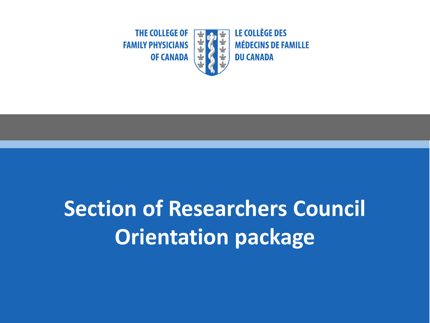

# **Section of Researchers Council Orientation package**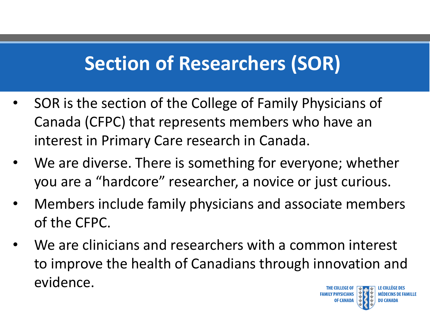## **Section of Researchers (SOR)**

- SOR is the section of the College of Family Physicians of Canada (CFPC) that represents members who have an interest in Primary Care research in Canada.
- We are diverse. There is something for everyone; whether you are a "hardcore" researcher, a novice or just curious.
- Members include family physicians and associate members of the CFPC.
- We are clinicians and researchers with a common interest to improve the health of Canadians through innovation and evidence.

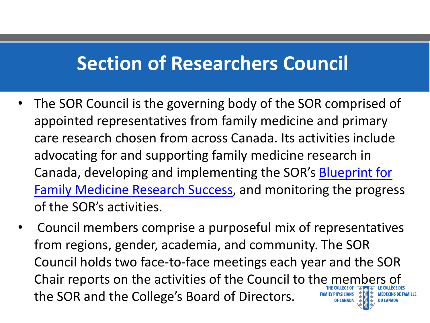#### **Section of Researchers Council**

- The SOR Council is the governing body of the SOR comprised of appointed representatives from family medicine and primary care research chosen from across Canada. Its activities include advocating for and supporting family medicine research in Canada, developing and implementing the SOR's Blueprint for [Family Medicine Research Success, and monitoring the progre](https://portal.cfpc.ca/ResourcesDocs/uploadedFiles/Research/SOR-Blueprint-2018-2023.pdf)ss of the SOR's activities.
- Council members comprise a purposeful mix of representatives from regions, gender, academia, and community. The SOR Council holds two face-to-face meetings each year and the SOR Chair reports on the activities of the Council to the members of the SOR and the College's Board of Directors.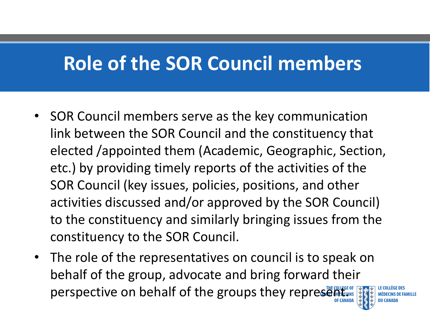### **Role of the SOR Council members**

- SOR Council members serve as the key communication link between the SOR Council and the constituency that elected /appointed them (Academic, Geographic, Section, etc.) by providing timely reports of the activities of the SOR Council (key issues, policies, positions, and other activities discussed and/or approved by the SOR Council) to the constituency and similarly bringing issues from the constituency to the SOR Council.
- The role of the representatives on council is to speak on behalf of the group, advocate and bring forward their perspective on behalf of the groups they representing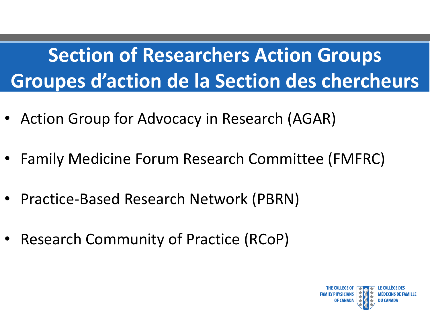# **Section of Researchers Action Groups Groupes d'action de la Section des chercheurs**

- Action Group for Advocacy in Research (AGAR)
- Family Medicine Forum Research Committee (FMFRC)
- Practice-Based Research Network (PBRN)
- Research Community of Practice (RCoP)

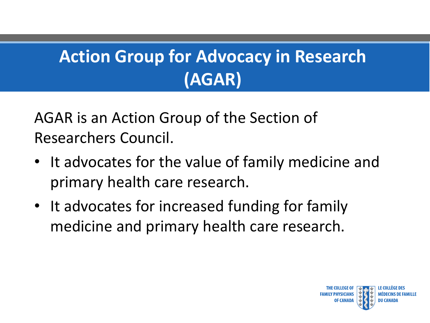## **Action Group for Advocacy in Research (AGAR)**

AGAR is an Action Group of the Section of Researchers Council.

- It advocates for the value of family medicine and primary health care research.
- It advocates for increased funding for family medicine and primary health care research.

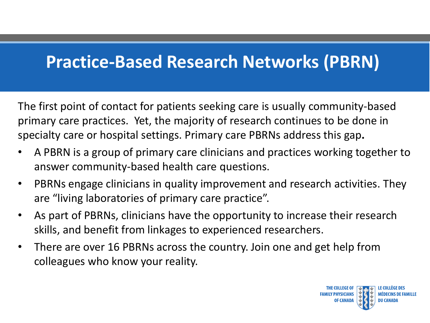#### **Practice-Based Research Networks (PBRN)**

The first point of contact for patients seeking care is usually community-based primary care practices. Yet, the majority of research continues to be done in specialty care or hospital settings. Primary care PBRNs address this gap**.** 

- A PBRN is a group of primary care clinicians and practices working together to answer community-based health care questions.
- PBRNs engage clinicians in quality improvement and research activities. They are "living laboratories of primary care practice".
- As part of PBRNs, clinicians have the opportunity to increase their research skills, and benefit from linkages to experienced researchers.
- There are over 16 PBRNs across the country. Join one and get help from colleagues who know your reality.

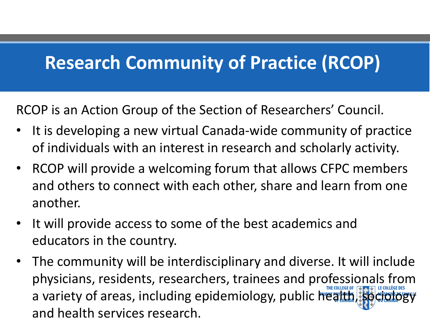#### **Research Community of Practice (RCOP)**

RCOP is an Action Group of the Section of Researchers' Council.

- It is developing a new virtual Canada-wide community of practice of individuals with an interest in research and scholarly activity.
- RCOP will provide a welcoming forum that allows CFPC members and others to connect with each other, share and learn from one another.
- It will provide access to some of the best academics and educators in the country.
- The community will be interdisciplinary and diverse. It will include physicians, residents, researchers, trainees and professionals from a variety of areas, including epidemiology, public health, soc and health services research.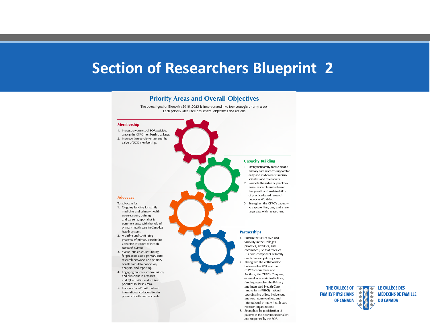#### **Section of Researchers Blueprint 2**

#### **Priority Areas and Overall Objectives**

The overall goal of Blueprint 2018-2023 is incorporated into four strategic priority areas. Each priority area includes several objectives and actions.

#### Membership 1. Increase awareness of SOR activities among the CFPC membership at large. 2. Increase the recruitment to and the value of SOR membership. **Capacity Building** 1. Strengthen family medicine and primary care research support for early and mid-career clinicianscientists and researchers. 2. Promote the value of practicebased research and advance the growth and sustainability of practice-based research **Advocacy** networks (PBRNs). To advocate for: 3. Strengthen the CFPC's capacity 1. Ongoing funding for family to capture, link, use, and share medicine and primary health large data with researchers. care research, training, and career support that is commensurate with the role of primary health care in Canada's health system. **Partnerships** 2. A visible and continuing 1. Sustain the SOR's role and presence of primary care in the visibility in the College's Canadian Institutes of Health priorities, activities, and Research (CIHR). committees, so that research 3. Stable infrastructure funding is a core component of family for practice-based primary care medicine and primary care. research networks and primary Strengthen the collaboration 2. health care data collection, between the SOR and the analysis, and reporting. CFPC's committees and 4. Engaging patients, communities, Sections, the CFPC's Chapters, and clinicians in research external academic institutions, and QI activities and setting funding agencies, the Primary priorities in these areas. and Integrated Health Care 5. Interprovincial/territorial and Innovations (PIHCI) national international collaboration in coordinating office, Indigenous and rural communities, and

- 
- primary health care research.

THE COLLEGE OF  $\sqrt{\phantom{a}}$ **FAMILY PHYSICIANS OF CANADA** 

international primary health care research organizations. 3. Strengthen the participation of patients in the activities undertaken and supported by the SOR.

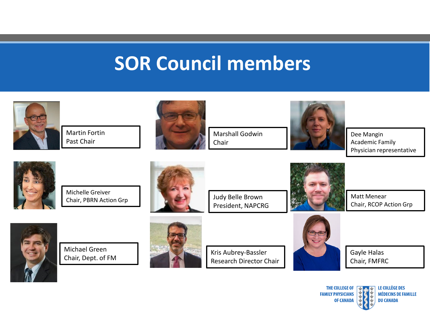#### **SOR Council members**



Martin Fortin Past Chair



Marshall Godwin Chair



Dee Mangin Academic Family Physician representative



Michelle Greiver Chair, PBRN Action Grp



Judy Belle Brown President, NAPCRG



Matt Menear Chair, RCOP Action Grp



Michael Green Chair, Dept. of FM



Kris Aubrey-Bassler Research Director Chair



Gayle Halas Chair, FMFRC

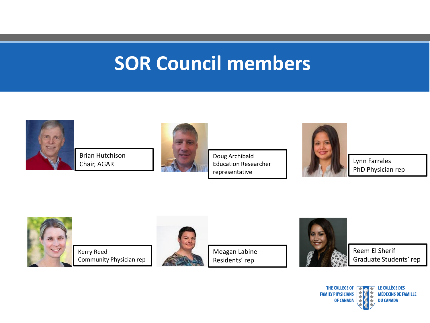#### **SOR Council members**



Brian Hutchison Chair, AGAR



Doug Archibald Education Researcher representative



Lynn Farrales PhD Physician rep



Kerry Reed Community Physician rep



Meagan Labine Residents' rep



Reem El Sherif Graduate Students' rep

LE COLLÈGE DES THE COLLEGE OF THE **FAMILY PHYSICIANS MÉDECINS DE FAMILLE OF CANADA DU CANADA**